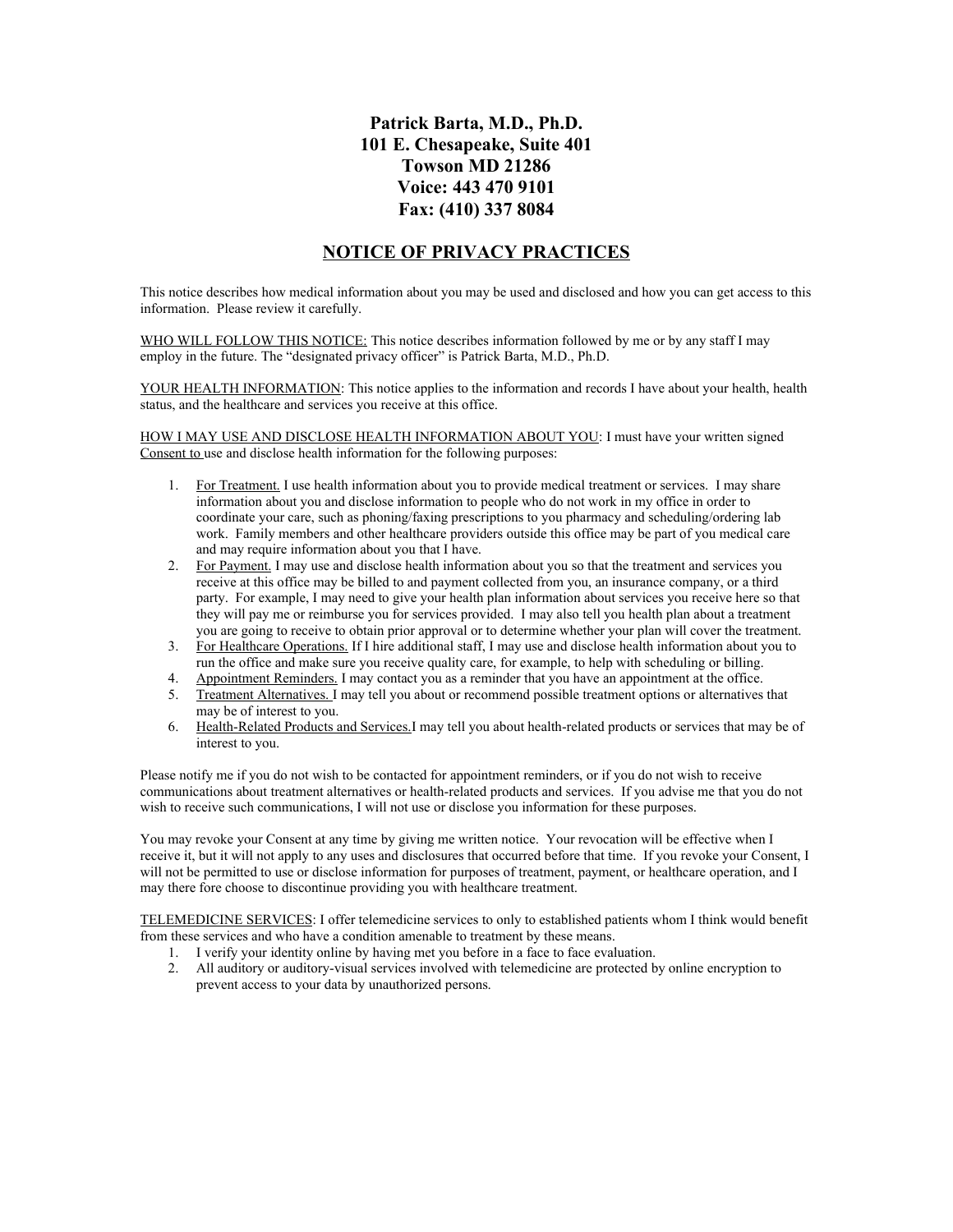## **Patrick Barta, M.D., Ph.D. 101 E. Chesapeake, Suite 401 Towson MD 21286 Voice: 443 470 9101 Fax: (410) 337 8084**

## **NOTICE OF PRIVACY PRACTICES**

This notice describes how medical information about you may be used and disclosed and how you can get access to this information. Please review it carefully.

WHO WILL FOLLOW THIS NOTICE: This notice describes information followed by me or by any staff I may employ in the future. The "designated privacy officer" is Patrick Barta, M.D., Ph.D.

YOUR HEALTH INFORMATION: This notice applies to the information and records I have about your health, health status, and the healthcare and services you receive at this office.

HOW I MAY USE AND DISCLOSE HEALTH INFORMATION ABOUT YOU: I must have your written signed Consent to use and disclose health information for the following purposes:

- 1. For Treatment. I use health information about you to provide medical treatment or services. I may share information about you and disclose information to people who do not work in my office in order to coordinate your care, such as phoning/faxing prescriptions to you pharmacy and scheduling/ordering lab work. Family members and other healthcare providers outside this office may be part of you medical care and may require information about you that I have.
- 2. For Payment. I may use and disclose health information about you so that the treatment and services you receive at this office may be billed to and payment collected from you, an insurance company, or a third party. For example, I may need to give your health plan information about services you receive here so that they will pay me or reimburse you for services provided. I may also tell you health plan about a treatment you are going to receive to obtain prior approval or to determine whether your plan will cover the treatment.
- 3. For Healthcare Operations. If I hire additional staff, I may use and disclose health information about you to run the office and make sure you receive quality care, for example, to help with scheduling or billing.
- 4. Appointment Reminders. I may contact you as a reminder that you have an appointment at the office.
- 5. Treatment Alternatives. I may tell you about or recommend possible treatment options or alternatives that may be of interest to you.
- 6. Health-Related Products and Services.I may tell you about health-related products or services that may be of interest to you.

Please notify me if you do not wish to be contacted for appointment reminders, or if you do not wish to receive communications about treatment alternatives or health-related products and services. If you advise me that you do not wish to receive such communications, I will not use or disclose you information for these purposes.

You may revoke your Consent at any time by giving me written notice. Your revocation will be effective when I receive it, but it will not apply to any uses and disclosures that occurred before that time. If you revoke your Consent, I will not be permitted to use or disclose information for purposes of treatment, payment, or healthcare operation, and I may there fore choose to discontinue providing you with healthcare treatment.

TELEMEDICINE SERVICES: I offer telemedicine services to only to established patients whom I think would benefit from these services and who have a condition amenable to treatment by these means.

- 1. I verify your identity online by having met you before in a face to face evaluation.
- 2. All auditory or auditory-visual services involved with telemedicine are protected by online encryption to prevent access to your data by unauthorized persons.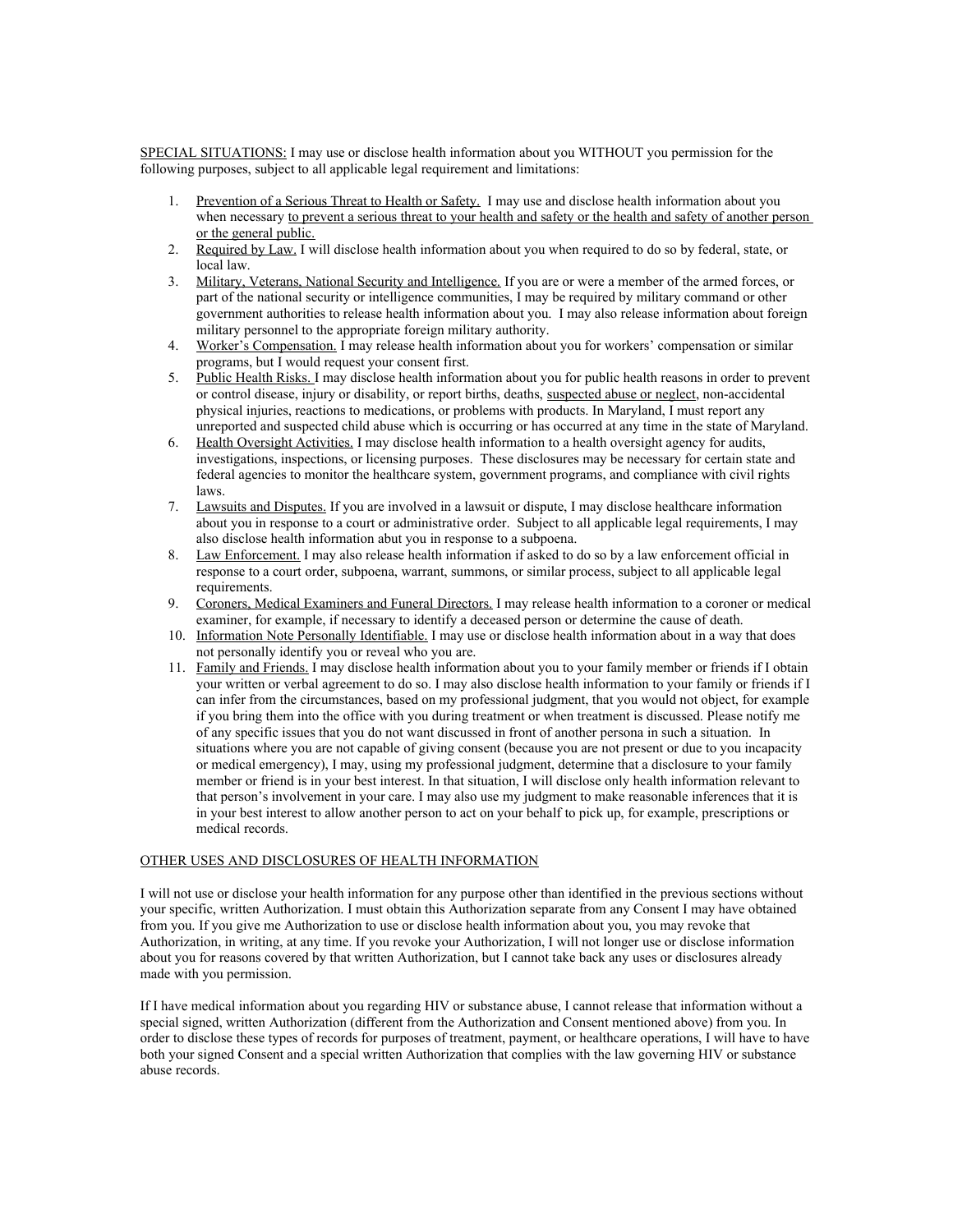SPECIAL SITUATIONS: I may use or disclose health information about you WITHOUT you permission for the following purposes, subject to all applicable legal requirement and limitations:

- 1. Prevention of a Serious Threat to Health or Safety. I may use and disclose health information about you when necessary to prevent a serious threat to your health and safety or the health and safety of another person or the general public.
- 2. Required by Law. I will disclose health information about you when required to do so by federal, state, or local law.
- 3. Military, Veterans, National Security and Intelligence. If you are or were a member of the armed forces, or part of the national security or intelligence communities, I may be required by military command or other government authorities to release health information about you. I may also release information about foreign military personnel to the appropriate foreign military authority.
- 4. Worker's Compensation. I may release health information about you for workers' compensation or similar programs, but I would request your consent first.
- 5. Public Health Risks. I may disclose health information about you for public health reasons in order to prevent or control disease, injury or disability, or report births, deaths, suspected abuse or neglect, non-accidental physical injuries, reactions to medications, or problems with products. In Maryland, I must report any unreported and suspected child abuse which is occurring or has occurred at any time in the state of Maryland.
- 6. Health Oversight Activities. I may disclose health information to a health oversight agency for audits, investigations, inspections, or licensing purposes. These disclosures may be necessary for certain state and federal agencies to monitor the healthcare system, government programs, and compliance with civil rights laws.
- 7. Lawsuits and Disputes. If you are involved in a lawsuit or dispute, I may disclose healthcare information about you in response to a court or administrative order. Subject to all applicable legal requirements, I may also disclose health information abut you in response to a subpoena.
- 8. Law Enforcement. I may also release health information if asked to do so by a law enforcement official in response to a court order, subpoena, warrant, summons, or similar process, subject to all applicable legal requirements.
- 9. Coroners, Medical Examiners and Funeral Directors. I may release health information to a coroner or medical examiner, for example, if necessary to identify a deceased person or determine the cause of death.
- 10. Information Note Personally Identifiable. I may use or disclose health information about in a way that does not personally identify you or reveal who you are.
- 11. Family and Friends. I may disclose health information about you to your family member or friends if I obtain your written or verbal agreement to do so. I may also disclose health information to your family or friends if I can infer from the circumstances, based on my professional judgment, that you would not object, for example if you bring them into the office with you during treatment or when treatment is discussed. Please notify me of any specific issues that you do not want discussed in front of another persona in such a situation. In situations where you are not capable of giving consent (because you are not present or due to you incapacity or medical emergency), I may, using my professional judgment, determine that a disclosure to your family member or friend is in your best interest. In that situation, I will disclose only health information relevant to that person's involvement in your care. I may also use my judgment to make reasonable inferences that it is in your best interest to allow another person to act on your behalf to pick up, for example, prescriptions or medical records.

## OTHER USES AND DISCLOSURES OF HEALTH INFORMATION

I will not use or disclose your health information for any purpose other than identified in the previous sections without your specific, written Authorization. I must obtain this Authorization separate from any Consent I may have obtained from you. If you give me Authorization to use or disclose health information about you, you may revoke that Authorization, in writing, at any time. If you revoke your Authorization, I will not longer use or disclose information about you for reasons covered by that written Authorization, but I cannot take back any uses or disclosures already made with you permission.

If I have medical information about you regarding HIV or substance abuse, I cannot release that information without a special signed, written Authorization (different from the Authorization and Consent mentioned above) from you. In order to disclose these types of records for purposes of treatment, payment, or healthcare operations, I will have to have both your signed Consent and a special written Authorization that complies with the law governing HIV or substance abuse records.